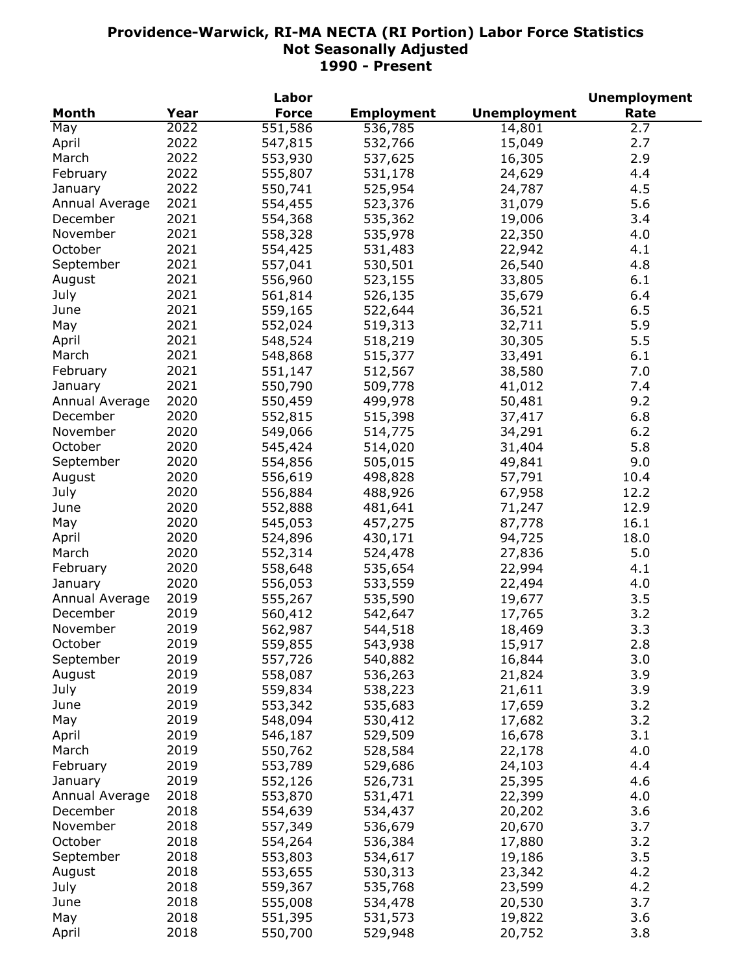|                |      | Labor        |                   |                     | <b>Unemployment</b> |
|----------------|------|--------------|-------------------|---------------------|---------------------|
| Month          | Year | <b>Force</b> | <b>Employment</b> | <b>Unemployment</b> | Rate                |
| May            | 2022 | 551,586      | 536,785           | 14,801              | 2.7                 |
| April          | 2022 | 547,815      | 532,766           | 15,049              | 2.7                 |
| March          | 2022 | 553,930      | 537,625           | 16,305              | 2.9                 |
| February       | 2022 | 555,807      | 531,178           | 24,629              | 4.4                 |
| January        | 2022 | 550,741      | 525,954           | 24,787              | 4.5                 |
| Annual Average | 2021 | 554,455      | 523,376           | 31,079              | 5.6                 |
| December       | 2021 | 554,368      | 535,362           | 19,006              | 3.4                 |
| November       | 2021 | 558,328      | 535,978           | 22,350              | 4.0                 |
| October        | 2021 | 554,425      | 531,483           | 22,942              | 4.1                 |
|                |      |              |                   |                     |                     |
| September      | 2021 | 557,041      | 530,501           | 26,540              | 4.8                 |
| August         | 2021 | 556,960      | 523,155           | 33,805              | 6.1                 |
| July           | 2021 | 561,814      | 526,135           | 35,679              | 6.4                 |
| June           | 2021 | 559,165      | 522,644           | 36,521              | 6.5                 |
| May            | 2021 | 552,024      | 519,313           | 32,711              | 5.9                 |
| April          | 2021 | 548,524      | 518,219           | 30,305              | 5.5                 |
| March          | 2021 | 548,868      | 515,377           | 33,491              | 6.1                 |
| February       | 2021 | 551,147      | 512,567           | 38,580              | 7.0                 |
| January        | 2021 | 550,790      | 509,778           | 41,012              | 7.4                 |
| Annual Average | 2020 | 550,459      | 499,978           | 50,481              | 9.2                 |
| December       | 2020 | 552,815      | 515,398           | 37,417              | 6.8                 |
| November       | 2020 | 549,066      | 514,775           | 34,291              | 6.2                 |
| October        | 2020 | 545,424      | 514,020           | 31,404              | 5.8                 |
| September      | 2020 | 554,856      | 505,015           | 49,841              | 9.0                 |
| August         | 2020 | 556,619      | 498,828           | 57,791              | 10.4                |
| July           | 2020 | 556,884      | 488,926           | 67,958              | 12.2                |
| June           | 2020 | 552,888      | 481,641           | 71,247              | 12.9                |
| May            | 2020 | 545,053      | 457,275           | 87,778              | 16.1                |
| April          | 2020 | 524,896      | 430,171           | 94,725              | 18.0                |
| March          | 2020 | 552,314      | 524,478           | 27,836              | 5.0                 |
| February       | 2020 |              |                   |                     | 4.1                 |
|                |      | 558,648      | 535,654           | 22,994              |                     |
| January        | 2020 | 556,053      | 533,559           | 22,494              | 4.0                 |
| Annual Average | 2019 | 555,267      | 535,590           | 19,677              | 3.5                 |
| December       | 2019 | 560,412      | 542,647           | 17,765              | 3.2                 |
| November       | 2019 | 562,987      | 544,518           | 18,469              | 3.3                 |
| October        | 2019 | 559,855      | 543,938           | 15,917              | 2.8                 |
| September      | 2019 | 557,726      | 540,882           | 16,844              | 3.0                 |
| August         | 2019 | 558,087      | 536,263           | 21,824              | 3.9                 |
| July           | 2019 | 559,834      | 538,223           | 21,611              | 3.9                 |
| June           | 2019 | 553,342      | 535,683           | 17,659              | 3.2                 |
| May            | 2019 | 548,094      | 530,412           | 17,682              | 3.2                 |
| April          | 2019 | 546,187      | 529,509           | 16,678              | 3.1                 |
| March          | 2019 | 550,762      | 528,584           | 22,178              | 4.0                 |
| February       | 2019 | 553,789      | 529,686           | 24,103              | 4.4                 |
| January        | 2019 | 552,126      | 526,731           | 25,395              | 4.6                 |
| Annual Average | 2018 | 553,870      | 531,471           | 22,399              | 4.0                 |
| December       | 2018 | 554,639      | 534,437           | 20,202              | 3.6                 |
| November       | 2018 | 557,349      | 536,679           | 20,670              | 3.7                 |
| October        | 2018 | 554,264      | 536,384           | 17,880              | 3.2                 |
| September      | 2018 | 553,803      | 534,617           | 19,186              | 3.5                 |
| August         | 2018 | 553,655      | 530,313           | 23,342              | 4.2                 |
| July           | 2018 | 559,367      | 535,768           | 23,599              | 4.2                 |
|                |      |              |                   |                     |                     |
| June           | 2018 | 555,008      | 534,478           | 20,530              | 3.7                 |
| May            | 2018 | 551,395      | 531,573           | 19,822              | 3.6                 |
| April          | 2018 | 550,700      | 529,948           | 20,752              | 3.8                 |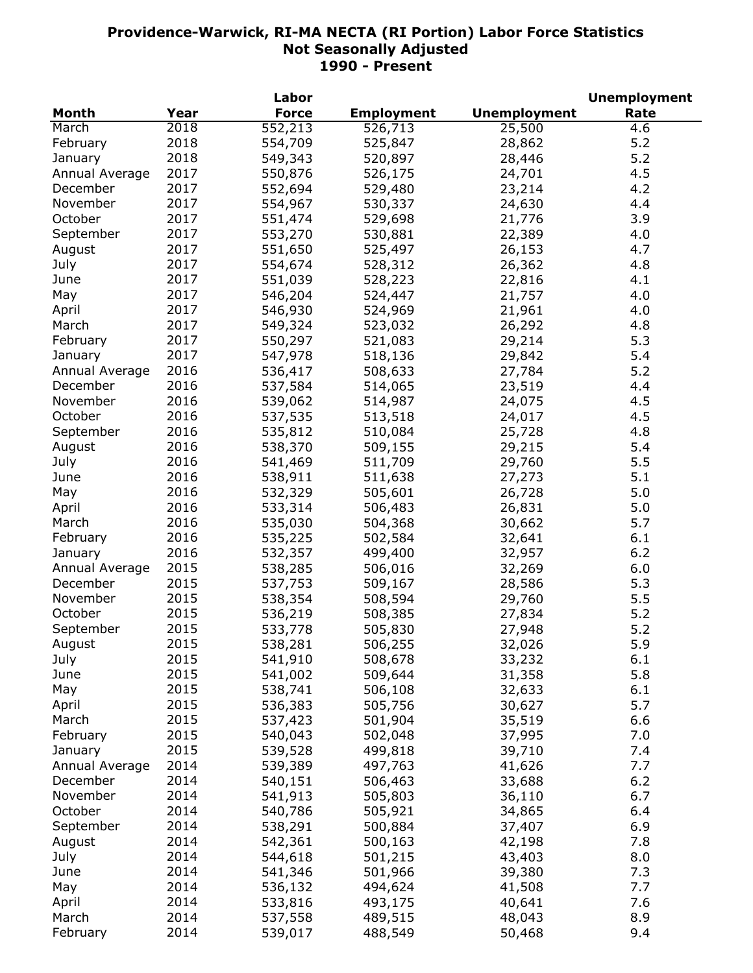| <b>Month</b><br><b>Force</b><br><b>Employment</b><br><b>Unemployment</b><br>Rate<br>Year<br>2018<br>552,213<br>526,713<br>25,500<br>March<br>4.6<br>2018<br>5.2<br>February<br>554,709<br>525,847<br>28,862<br>2018<br>5.2<br>549,343<br>January<br>520,897<br>28,446<br>2017<br>24,701<br>4.5<br>Annual Average<br>550,876<br>526,175<br>2017<br>552,694<br>23,214<br>4.2<br>December<br>529,480<br>November<br>2017<br>554,967<br>24,630<br>530,337<br>4.4<br>October<br>2017<br>551,474<br>529,698<br>21,776<br>3.9<br>September<br>2017<br>553,270<br>530,881<br>22,389<br>4.0<br>2017<br>551,650<br>525,497<br>4.7<br>August<br>26,153<br>2017<br>528,312<br>4.8<br>July<br>554,674<br>26,362<br>2017<br>4.1<br>June<br>551,039<br>528,223<br>22,816<br>2017<br>546,204<br>524,447<br>4.0<br>May<br>21,757<br>2017<br>546,930<br>524,969<br>21,961<br>4.0<br>April<br>2017<br>549,324<br>523,032<br>26,292<br>4.8<br>March<br>2017<br>February<br>550,297<br>521,083<br>29,214<br>5.3<br>2017<br>5.4<br>547,978<br>518,136<br>29,842<br>January<br>2016<br>5.2<br>508,633<br>Annual Average<br>536,417<br>27,784<br>2016<br>4.4<br>December<br>537,584<br>514,065<br>23,519<br>2016<br>November<br>24,075<br>4.5<br>539,062<br>514,987<br>2016<br>October<br>4.5<br>537,535<br>513,518<br>24,017<br>2016<br>535,812<br>4.8<br>September<br>510,084<br>25,728<br>2016<br>538,370<br>29,215<br>5.4<br>August<br>509,155<br>2016<br>541,469<br>511,709<br>29,760<br>5.5<br>July<br>2016<br>5.1<br>538,911<br>511,638<br>27,273<br>June<br>5.0<br>2016<br>532,329<br>505,601<br>26,728<br>May<br>2016<br>533,314<br>5.0<br>April<br>506,483<br>26,831<br>2016<br>5.7<br>March<br>535,030<br>504,368<br>30,662<br>2016<br>February<br>6.1<br>535,225<br>502,584<br>32,641<br>2016<br>6.2<br>532,357<br>499,400<br>32,957<br>January<br>2015<br>6.0<br>Annual Average<br>538,285<br>506,016<br>32,269<br>2015<br>5.3<br>December<br>537,753<br>509,167<br>28,586<br>2015<br>November<br>5.5<br>538,354<br>508,594<br>29,760<br>October<br>2015<br>5.2<br>536,219<br>508,385<br>27,834<br>2015<br>5.2<br>September<br>533,778<br>505,830<br>27,948<br>August<br>2015<br>538,281<br>506,255<br>32,026<br>5.9<br>2015<br>33,232<br>July<br>541,910<br>508,678<br>6.1<br>5.8<br>2015<br>June<br>541,002<br>509,644<br>31,358<br>2015<br>538,741<br>6.1<br>May<br>506,108<br>32,633<br>5.7<br>536,383<br>2015<br>505,756<br>30,627<br>April<br>2015<br>537,423<br>35,519<br>March<br>501,904<br>6.6<br>2015<br>7.0<br>February<br>540,043<br>502,048<br>37,995<br>2015<br>539,528<br>499,818<br>39,710<br>7.4<br>January<br>2014<br>7.7<br>539,389<br>497,763<br>41,626<br>Annual Average<br>6.2<br>2014<br>December<br>540,151<br>506,463<br>33,688<br>2014<br>6.7<br>November<br>541,913<br>505,803<br>36,110<br>October<br>2014<br>6.4<br>540,786<br>505,921<br>34,865<br>September<br>2014<br>6.9<br>538,291<br>500,884<br>37,407<br>2014<br>7.8<br>August<br>542,361<br>500,163<br>42,198<br>2014<br>July<br>43,403<br>8.0<br>544,618<br>501,215<br>2014<br>June<br>39,380<br>7.3<br>541,346<br>501,966<br>2014<br>May<br>536,132<br>41,508<br>7.7<br>494,624<br>2014<br>533,816<br>493,175<br>40,641<br>7.6<br>April |       |      | Labor   |         |        | <b>Unemployment</b> |
|----------------------------------------------------------------------------------------------------------------------------------------------------------------------------------------------------------------------------------------------------------------------------------------------------------------------------------------------------------------------------------------------------------------------------------------------------------------------------------------------------------------------------------------------------------------------------------------------------------------------------------------------------------------------------------------------------------------------------------------------------------------------------------------------------------------------------------------------------------------------------------------------------------------------------------------------------------------------------------------------------------------------------------------------------------------------------------------------------------------------------------------------------------------------------------------------------------------------------------------------------------------------------------------------------------------------------------------------------------------------------------------------------------------------------------------------------------------------------------------------------------------------------------------------------------------------------------------------------------------------------------------------------------------------------------------------------------------------------------------------------------------------------------------------------------------------------------------------------------------------------------------------------------------------------------------------------------------------------------------------------------------------------------------------------------------------------------------------------------------------------------------------------------------------------------------------------------------------------------------------------------------------------------------------------------------------------------------------------------------------------------------------------------------------------------------------------------------------------------------------------------------------------------------------------------------------------------------------------------------------------------------------------------------------------------------------------------------------------------------------------------------------------------------------------------------------------------------------------------------------------------------------------------------------------------------------------------------------------------------------------------------------------------------------------------------------------------------------------------------------------------------------------------------------------------------------------------------------|-------|------|---------|---------|--------|---------------------|
|                                                                                                                                                                                                                                                                                                                                                                                                                                                                                                                                                                                                                                                                                                                                                                                                                                                                                                                                                                                                                                                                                                                                                                                                                                                                                                                                                                                                                                                                                                                                                                                                                                                                                                                                                                                                                                                                                                                                                                                                                                                                                                                                                                                                                                                                                                                                                                                                                                                                                                                                                                                                                                                                                                                                                                                                                                                                                                                                                                                                                                                                                                                                                                                                                      |       |      |         |         |        |                     |
|                                                                                                                                                                                                                                                                                                                                                                                                                                                                                                                                                                                                                                                                                                                                                                                                                                                                                                                                                                                                                                                                                                                                                                                                                                                                                                                                                                                                                                                                                                                                                                                                                                                                                                                                                                                                                                                                                                                                                                                                                                                                                                                                                                                                                                                                                                                                                                                                                                                                                                                                                                                                                                                                                                                                                                                                                                                                                                                                                                                                                                                                                                                                                                                                                      |       |      |         |         |        |                     |
|                                                                                                                                                                                                                                                                                                                                                                                                                                                                                                                                                                                                                                                                                                                                                                                                                                                                                                                                                                                                                                                                                                                                                                                                                                                                                                                                                                                                                                                                                                                                                                                                                                                                                                                                                                                                                                                                                                                                                                                                                                                                                                                                                                                                                                                                                                                                                                                                                                                                                                                                                                                                                                                                                                                                                                                                                                                                                                                                                                                                                                                                                                                                                                                                                      |       |      |         |         |        |                     |
|                                                                                                                                                                                                                                                                                                                                                                                                                                                                                                                                                                                                                                                                                                                                                                                                                                                                                                                                                                                                                                                                                                                                                                                                                                                                                                                                                                                                                                                                                                                                                                                                                                                                                                                                                                                                                                                                                                                                                                                                                                                                                                                                                                                                                                                                                                                                                                                                                                                                                                                                                                                                                                                                                                                                                                                                                                                                                                                                                                                                                                                                                                                                                                                                                      |       |      |         |         |        |                     |
|                                                                                                                                                                                                                                                                                                                                                                                                                                                                                                                                                                                                                                                                                                                                                                                                                                                                                                                                                                                                                                                                                                                                                                                                                                                                                                                                                                                                                                                                                                                                                                                                                                                                                                                                                                                                                                                                                                                                                                                                                                                                                                                                                                                                                                                                                                                                                                                                                                                                                                                                                                                                                                                                                                                                                                                                                                                                                                                                                                                                                                                                                                                                                                                                                      |       |      |         |         |        |                     |
|                                                                                                                                                                                                                                                                                                                                                                                                                                                                                                                                                                                                                                                                                                                                                                                                                                                                                                                                                                                                                                                                                                                                                                                                                                                                                                                                                                                                                                                                                                                                                                                                                                                                                                                                                                                                                                                                                                                                                                                                                                                                                                                                                                                                                                                                                                                                                                                                                                                                                                                                                                                                                                                                                                                                                                                                                                                                                                                                                                                                                                                                                                                                                                                                                      |       |      |         |         |        |                     |
|                                                                                                                                                                                                                                                                                                                                                                                                                                                                                                                                                                                                                                                                                                                                                                                                                                                                                                                                                                                                                                                                                                                                                                                                                                                                                                                                                                                                                                                                                                                                                                                                                                                                                                                                                                                                                                                                                                                                                                                                                                                                                                                                                                                                                                                                                                                                                                                                                                                                                                                                                                                                                                                                                                                                                                                                                                                                                                                                                                                                                                                                                                                                                                                                                      |       |      |         |         |        |                     |
|                                                                                                                                                                                                                                                                                                                                                                                                                                                                                                                                                                                                                                                                                                                                                                                                                                                                                                                                                                                                                                                                                                                                                                                                                                                                                                                                                                                                                                                                                                                                                                                                                                                                                                                                                                                                                                                                                                                                                                                                                                                                                                                                                                                                                                                                                                                                                                                                                                                                                                                                                                                                                                                                                                                                                                                                                                                                                                                                                                                                                                                                                                                                                                                                                      |       |      |         |         |        |                     |
|                                                                                                                                                                                                                                                                                                                                                                                                                                                                                                                                                                                                                                                                                                                                                                                                                                                                                                                                                                                                                                                                                                                                                                                                                                                                                                                                                                                                                                                                                                                                                                                                                                                                                                                                                                                                                                                                                                                                                                                                                                                                                                                                                                                                                                                                                                                                                                                                                                                                                                                                                                                                                                                                                                                                                                                                                                                                                                                                                                                                                                                                                                                                                                                                                      |       |      |         |         |        |                     |
|                                                                                                                                                                                                                                                                                                                                                                                                                                                                                                                                                                                                                                                                                                                                                                                                                                                                                                                                                                                                                                                                                                                                                                                                                                                                                                                                                                                                                                                                                                                                                                                                                                                                                                                                                                                                                                                                                                                                                                                                                                                                                                                                                                                                                                                                                                                                                                                                                                                                                                                                                                                                                                                                                                                                                                                                                                                                                                                                                                                                                                                                                                                                                                                                                      |       |      |         |         |        |                     |
|                                                                                                                                                                                                                                                                                                                                                                                                                                                                                                                                                                                                                                                                                                                                                                                                                                                                                                                                                                                                                                                                                                                                                                                                                                                                                                                                                                                                                                                                                                                                                                                                                                                                                                                                                                                                                                                                                                                                                                                                                                                                                                                                                                                                                                                                                                                                                                                                                                                                                                                                                                                                                                                                                                                                                                                                                                                                                                                                                                                                                                                                                                                                                                                                                      |       |      |         |         |        |                     |
|                                                                                                                                                                                                                                                                                                                                                                                                                                                                                                                                                                                                                                                                                                                                                                                                                                                                                                                                                                                                                                                                                                                                                                                                                                                                                                                                                                                                                                                                                                                                                                                                                                                                                                                                                                                                                                                                                                                                                                                                                                                                                                                                                                                                                                                                                                                                                                                                                                                                                                                                                                                                                                                                                                                                                                                                                                                                                                                                                                                                                                                                                                                                                                                                                      |       |      |         |         |        |                     |
|                                                                                                                                                                                                                                                                                                                                                                                                                                                                                                                                                                                                                                                                                                                                                                                                                                                                                                                                                                                                                                                                                                                                                                                                                                                                                                                                                                                                                                                                                                                                                                                                                                                                                                                                                                                                                                                                                                                                                                                                                                                                                                                                                                                                                                                                                                                                                                                                                                                                                                                                                                                                                                                                                                                                                                                                                                                                                                                                                                                                                                                                                                                                                                                                                      |       |      |         |         |        |                     |
|                                                                                                                                                                                                                                                                                                                                                                                                                                                                                                                                                                                                                                                                                                                                                                                                                                                                                                                                                                                                                                                                                                                                                                                                                                                                                                                                                                                                                                                                                                                                                                                                                                                                                                                                                                                                                                                                                                                                                                                                                                                                                                                                                                                                                                                                                                                                                                                                                                                                                                                                                                                                                                                                                                                                                                                                                                                                                                                                                                                                                                                                                                                                                                                                                      |       |      |         |         |        |                     |
|                                                                                                                                                                                                                                                                                                                                                                                                                                                                                                                                                                                                                                                                                                                                                                                                                                                                                                                                                                                                                                                                                                                                                                                                                                                                                                                                                                                                                                                                                                                                                                                                                                                                                                                                                                                                                                                                                                                                                                                                                                                                                                                                                                                                                                                                                                                                                                                                                                                                                                                                                                                                                                                                                                                                                                                                                                                                                                                                                                                                                                                                                                                                                                                                                      |       |      |         |         |        |                     |
|                                                                                                                                                                                                                                                                                                                                                                                                                                                                                                                                                                                                                                                                                                                                                                                                                                                                                                                                                                                                                                                                                                                                                                                                                                                                                                                                                                                                                                                                                                                                                                                                                                                                                                                                                                                                                                                                                                                                                                                                                                                                                                                                                                                                                                                                                                                                                                                                                                                                                                                                                                                                                                                                                                                                                                                                                                                                                                                                                                                                                                                                                                                                                                                                                      |       |      |         |         |        |                     |
|                                                                                                                                                                                                                                                                                                                                                                                                                                                                                                                                                                                                                                                                                                                                                                                                                                                                                                                                                                                                                                                                                                                                                                                                                                                                                                                                                                                                                                                                                                                                                                                                                                                                                                                                                                                                                                                                                                                                                                                                                                                                                                                                                                                                                                                                                                                                                                                                                                                                                                                                                                                                                                                                                                                                                                                                                                                                                                                                                                                                                                                                                                                                                                                                                      |       |      |         |         |        |                     |
|                                                                                                                                                                                                                                                                                                                                                                                                                                                                                                                                                                                                                                                                                                                                                                                                                                                                                                                                                                                                                                                                                                                                                                                                                                                                                                                                                                                                                                                                                                                                                                                                                                                                                                                                                                                                                                                                                                                                                                                                                                                                                                                                                                                                                                                                                                                                                                                                                                                                                                                                                                                                                                                                                                                                                                                                                                                                                                                                                                                                                                                                                                                                                                                                                      |       |      |         |         |        |                     |
|                                                                                                                                                                                                                                                                                                                                                                                                                                                                                                                                                                                                                                                                                                                                                                                                                                                                                                                                                                                                                                                                                                                                                                                                                                                                                                                                                                                                                                                                                                                                                                                                                                                                                                                                                                                                                                                                                                                                                                                                                                                                                                                                                                                                                                                                                                                                                                                                                                                                                                                                                                                                                                                                                                                                                                                                                                                                                                                                                                                                                                                                                                                                                                                                                      |       |      |         |         |        |                     |
|                                                                                                                                                                                                                                                                                                                                                                                                                                                                                                                                                                                                                                                                                                                                                                                                                                                                                                                                                                                                                                                                                                                                                                                                                                                                                                                                                                                                                                                                                                                                                                                                                                                                                                                                                                                                                                                                                                                                                                                                                                                                                                                                                                                                                                                                                                                                                                                                                                                                                                                                                                                                                                                                                                                                                                                                                                                                                                                                                                                                                                                                                                                                                                                                                      |       |      |         |         |        |                     |
|                                                                                                                                                                                                                                                                                                                                                                                                                                                                                                                                                                                                                                                                                                                                                                                                                                                                                                                                                                                                                                                                                                                                                                                                                                                                                                                                                                                                                                                                                                                                                                                                                                                                                                                                                                                                                                                                                                                                                                                                                                                                                                                                                                                                                                                                                                                                                                                                                                                                                                                                                                                                                                                                                                                                                                                                                                                                                                                                                                                                                                                                                                                                                                                                                      |       |      |         |         |        |                     |
|                                                                                                                                                                                                                                                                                                                                                                                                                                                                                                                                                                                                                                                                                                                                                                                                                                                                                                                                                                                                                                                                                                                                                                                                                                                                                                                                                                                                                                                                                                                                                                                                                                                                                                                                                                                                                                                                                                                                                                                                                                                                                                                                                                                                                                                                                                                                                                                                                                                                                                                                                                                                                                                                                                                                                                                                                                                                                                                                                                                                                                                                                                                                                                                                                      |       |      |         |         |        |                     |
|                                                                                                                                                                                                                                                                                                                                                                                                                                                                                                                                                                                                                                                                                                                                                                                                                                                                                                                                                                                                                                                                                                                                                                                                                                                                                                                                                                                                                                                                                                                                                                                                                                                                                                                                                                                                                                                                                                                                                                                                                                                                                                                                                                                                                                                                                                                                                                                                                                                                                                                                                                                                                                                                                                                                                                                                                                                                                                                                                                                                                                                                                                                                                                                                                      |       |      |         |         |        |                     |
|                                                                                                                                                                                                                                                                                                                                                                                                                                                                                                                                                                                                                                                                                                                                                                                                                                                                                                                                                                                                                                                                                                                                                                                                                                                                                                                                                                                                                                                                                                                                                                                                                                                                                                                                                                                                                                                                                                                                                                                                                                                                                                                                                                                                                                                                                                                                                                                                                                                                                                                                                                                                                                                                                                                                                                                                                                                                                                                                                                                                                                                                                                                                                                                                                      |       |      |         |         |        |                     |
|                                                                                                                                                                                                                                                                                                                                                                                                                                                                                                                                                                                                                                                                                                                                                                                                                                                                                                                                                                                                                                                                                                                                                                                                                                                                                                                                                                                                                                                                                                                                                                                                                                                                                                                                                                                                                                                                                                                                                                                                                                                                                                                                                                                                                                                                                                                                                                                                                                                                                                                                                                                                                                                                                                                                                                                                                                                                                                                                                                                                                                                                                                                                                                                                                      |       |      |         |         |        |                     |
|                                                                                                                                                                                                                                                                                                                                                                                                                                                                                                                                                                                                                                                                                                                                                                                                                                                                                                                                                                                                                                                                                                                                                                                                                                                                                                                                                                                                                                                                                                                                                                                                                                                                                                                                                                                                                                                                                                                                                                                                                                                                                                                                                                                                                                                                                                                                                                                                                                                                                                                                                                                                                                                                                                                                                                                                                                                                                                                                                                                                                                                                                                                                                                                                                      |       |      |         |         |        |                     |
|                                                                                                                                                                                                                                                                                                                                                                                                                                                                                                                                                                                                                                                                                                                                                                                                                                                                                                                                                                                                                                                                                                                                                                                                                                                                                                                                                                                                                                                                                                                                                                                                                                                                                                                                                                                                                                                                                                                                                                                                                                                                                                                                                                                                                                                                                                                                                                                                                                                                                                                                                                                                                                                                                                                                                                                                                                                                                                                                                                                                                                                                                                                                                                                                                      |       |      |         |         |        |                     |
|                                                                                                                                                                                                                                                                                                                                                                                                                                                                                                                                                                                                                                                                                                                                                                                                                                                                                                                                                                                                                                                                                                                                                                                                                                                                                                                                                                                                                                                                                                                                                                                                                                                                                                                                                                                                                                                                                                                                                                                                                                                                                                                                                                                                                                                                                                                                                                                                                                                                                                                                                                                                                                                                                                                                                                                                                                                                                                                                                                                                                                                                                                                                                                                                                      |       |      |         |         |        |                     |
|                                                                                                                                                                                                                                                                                                                                                                                                                                                                                                                                                                                                                                                                                                                                                                                                                                                                                                                                                                                                                                                                                                                                                                                                                                                                                                                                                                                                                                                                                                                                                                                                                                                                                                                                                                                                                                                                                                                                                                                                                                                                                                                                                                                                                                                                                                                                                                                                                                                                                                                                                                                                                                                                                                                                                                                                                                                                                                                                                                                                                                                                                                                                                                                                                      |       |      |         |         |        |                     |
|                                                                                                                                                                                                                                                                                                                                                                                                                                                                                                                                                                                                                                                                                                                                                                                                                                                                                                                                                                                                                                                                                                                                                                                                                                                                                                                                                                                                                                                                                                                                                                                                                                                                                                                                                                                                                                                                                                                                                                                                                                                                                                                                                                                                                                                                                                                                                                                                                                                                                                                                                                                                                                                                                                                                                                                                                                                                                                                                                                                                                                                                                                                                                                                                                      |       |      |         |         |        |                     |
|                                                                                                                                                                                                                                                                                                                                                                                                                                                                                                                                                                                                                                                                                                                                                                                                                                                                                                                                                                                                                                                                                                                                                                                                                                                                                                                                                                                                                                                                                                                                                                                                                                                                                                                                                                                                                                                                                                                                                                                                                                                                                                                                                                                                                                                                                                                                                                                                                                                                                                                                                                                                                                                                                                                                                                                                                                                                                                                                                                                                                                                                                                                                                                                                                      |       |      |         |         |        |                     |
|                                                                                                                                                                                                                                                                                                                                                                                                                                                                                                                                                                                                                                                                                                                                                                                                                                                                                                                                                                                                                                                                                                                                                                                                                                                                                                                                                                                                                                                                                                                                                                                                                                                                                                                                                                                                                                                                                                                                                                                                                                                                                                                                                                                                                                                                                                                                                                                                                                                                                                                                                                                                                                                                                                                                                                                                                                                                                                                                                                                                                                                                                                                                                                                                                      |       |      |         |         |        |                     |
|                                                                                                                                                                                                                                                                                                                                                                                                                                                                                                                                                                                                                                                                                                                                                                                                                                                                                                                                                                                                                                                                                                                                                                                                                                                                                                                                                                                                                                                                                                                                                                                                                                                                                                                                                                                                                                                                                                                                                                                                                                                                                                                                                                                                                                                                                                                                                                                                                                                                                                                                                                                                                                                                                                                                                                                                                                                                                                                                                                                                                                                                                                                                                                                                                      |       |      |         |         |        |                     |
|                                                                                                                                                                                                                                                                                                                                                                                                                                                                                                                                                                                                                                                                                                                                                                                                                                                                                                                                                                                                                                                                                                                                                                                                                                                                                                                                                                                                                                                                                                                                                                                                                                                                                                                                                                                                                                                                                                                                                                                                                                                                                                                                                                                                                                                                                                                                                                                                                                                                                                                                                                                                                                                                                                                                                                                                                                                                                                                                                                                                                                                                                                                                                                                                                      |       |      |         |         |        |                     |
|                                                                                                                                                                                                                                                                                                                                                                                                                                                                                                                                                                                                                                                                                                                                                                                                                                                                                                                                                                                                                                                                                                                                                                                                                                                                                                                                                                                                                                                                                                                                                                                                                                                                                                                                                                                                                                                                                                                                                                                                                                                                                                                                                                                                                                                                                                                                                                                                                                                                                                                                                                                                                                                                                                                                                                                                                                                                                                                                                                                                                                                                                                                                                                                                                      |       |      |         |         |        |                     |
|                                                                                                                                                                                                                                                                                                                                                                                                                                                                                                                                                                                                                                                                                                                                                                                                                                                                                                                                                                                                                                                                                                                                                                                                                                                                                                                                                                                                                                                                                                                                                                                                                                                                                                                                                                                                                                                                                                                                                                                                                                                                                                                                                                                                                                                                                                                                                                                                                                                                                                                                                                                                                                                                                                                                                                                                                                                                                                                                                                                                                                                                                                                                                                                                                      |       |      |         |         |        |                     |
|                                                                                                                                                                                                                                                                                                                                                                                                                                                                                                                                                                                                                                                                                                                                                                                                                                                                                                                                                                                                                                                                                                                                                                                                                                                                                                                                                                                                                                                                                                                                                                                                                                                                                                                                                                                                                                                                                                                                                                                                                                                                                                                                                                                                                                                                                                                                                                                                                                                                                                                                                                                                                                                                                                                                                                                                                                                                                                                                                                                                                                                                                                                                                                                                                      |       |      |         |         |        |                     |
|                                                                                                                                                                                                                                                                                                                                                                                                                                                                                                                                                                                                                                                                                                                                                                                                                                                                                                                                                                                                                                                                                                                                                                                                                                                                                                                                                                                                                                                                                                                                                                                                                                                                                                                                                                                                                                                                                                                                                                                                                                                                                                                                                                                                                                                                                                                                                                                                                                                                                                                                                                                                                                                                                                                                                                                                                                                                                                                                                                                                                                                                                                                                                                                                                      |       |      |         |         |        |                     |
|                                                                                                                                                                                                                                                                                                                                                                                                                                                                                                                                                                                                                                                                                                                                                                                                                                                                                                                                                                                                                                                                                                                                                                                                                                                                                                                                                                                                                                                                                                                                                                                                                                                                                                                                                                                                                                                                                                                                                                                                                                                                                                                                                                                                                                                                                                                                                                                                                                                                                                                                                                                                                                                                                                                                                                                                                                                                                                                                                                                                                                                                                                                                                                                                                      |       |      |         |         |        |                     |
|                                                                                                                                                                                                                                                                                                                                                                                                                                                                                                                                                                                                                                                                                                                                                                                                                                                                                                                                                                                                                                                                                                                                                                                                                                                                                                                                                                                                                                                                                                                                                                                                                                                                                                                                                                                                                                                                                                                                                                                                                                                                                                                                                                                                                                                                                                                                                                                                                                                                                                                                                                                                                                                                                                                                                                                                                                                                                                                                                                                                                                                                                                                                                                                                                      |       |      |         |         |        |                     |
|                                                                                                                                                                                                                                                                                                                                                                                                                                                                                                                                                                                                                                                                                                                                                                                                                                                                                                                                                                                                                                                                                                                                                                                                                                                                                                                                                                                                                                                                                                                                                                                                                                                                                                                                                                                                                                                                                                                                                                                                                                                                                                                                                                                                                                                                                                                                                                                                                                                                                                                                                                                                                                                                                                                                                                                                                                                                                                                                                                                                                                                                                                                                                                                                                      |       |      |         |         |        |                     |
|                                                                                                                                                                                                                                                                                                                                                                                                                                                                                                                                                                                                                                                                                                                                                                                                                                                                                                                                                                                                                                                                                                                                                                                                                                                                                                                                                                                                                                                                                                                                                                                                                                                                                                                                                                                                                                                                                                                                                                                                                                                                                                                                                                                                                                                                                                                                                                                                                                                                                                                                                                                                                                                                                                                                                                                                                                                                                                                                                                                                                                                                                                                                                                                                                      |       |      |         |         |        |                     |
|                                                                                                                                                                                                                                                                                                                                                                                                                                                                                                                                                                                                                                                                                                                                                                                                                                                                                                                                                                                                                                                                                                                                                                                                                                                                                                                                                                                                                                                                                                                                                                                                                                                                                                                                                                                                                                                                                                                                                                                                                                                                                                                                                                                                                                                                                                                                                                                                                                                                                                                                                                                                                                                                                                                                                                                                                                                                                                                                                                                                                                                                                                                                                                                                                      |       |      |         |         |        |                     |
|                                                                                                                                                                                                                                                                                                                                                                                                                                                                                                                                                                                                                                                                                                                                                                                                                                                                                                                                                                                                                                                                                                                                                                                                                                                                                                                                                                                                                                                                                                                                                                                                                                                                                                                                                                                                                                                                                                                                                                                                                                                                                                                                                                                                                                                                                                                                                                                                                                                                                                                                                                                                                                                                                                                                                                                                                                                                                                                                                                                                                                                                                                                                                                                                                      |       |      |         |         |        |                     |
|                                                                                                                                                                                                                                                                                                                                                                                                                                                                                                                                                                                                                                                                                                                                                                                                                                                                                                                                                                                                                                                                                                                                                                                                                                                                                                                                                                                                                                                                                                                                                                                                                                                                                                                                                                                                                                                                                                                                                                                                                                                                                                                                                                                                                                                                                                                                                                                                                                                                                                                                                                                                                                                                                                                                                                                                                                                                                                                                                                                                                                                                                                                                                                                                                      |       |      |         |         |        |                     |
|                                                                                                                                                                                                                                                                                                                                                                                                                                                                                                                                                                                                                                                                                                                                                                                                                                                                                                                                                                                                                                                                                                                                                                                                                                                                                                                                                                                                                                                                                                                                                                                                                                                                                                                                                                                                                                                                                                                                                                                                                                                                                                                                                                                                                                                                                                                                                                                                                                                                                                                                                                                                                                                                                                                                                                                                                                                                                                                                                                                                                                                                                                                                                                                                                      |       |      |         |         |        |                     |
|                                                                                                                                                                                                                                                                                                                                                                                                                                                                                                                                                                                                                                                                                                                                                                                                                                                                                                                                                                                                                                                                                                                                                                                                                                                                                                                                                                                                                                                                                                                                                                                                                                                                                                                                                                                                                                                                                                                                                                                                                                                                                                                                                                                                                                                                                                                                                                                                                                                                                                                                                                                                                                                                                                                                                                                                                                                                                                                                                                                                                                                                                                                                                                                                                      |       |      |         |         |        |                     |
|                                                                                                                                                                                                                                                                                                                                                                                                                                                                                                                                                                                                                                                                                                                                                                                                                                                                                                                                                                                                                                                                                                                                                                                                                                                                                                                                                                                                                                                                                                                                                                                                                                                                                                                                                                                                                                                                                                                                                                                                                                                                                                                                                                                                                                                                                                                                                                                                                                                                                                                                                                                                                                                                                                                                                                                                                                                                                                                                                                                                                                                                                                                                                                                                                      |       |      |         |         |        |                     |
|                                                                                                                                                                                                                                                                                                                                                                                                                                                                                                                                                                                                                                                                                                                                                                                                                                                                                                                                                                                                                                                                                                                                                                                                                                                                                                                                                                                                                                                                                                                                                                                                                                                                                                                                                                                                                                                                                                                                                                                                                                                                                                                                                                                                                                                                                                                                                                                                                                                                                                                                                                                                                                                                                                                                                                                                                                                                                                                                                                                                                                                                                                                                                                                                                      |       |      |         |         |        |                     |
|                                                                                                                                                                                                                                                                                                                                                                                                                                                                                                                                                                                                                                                                                                                                                                                                                                                                                                                                                                                                                                                                                                                                                                                                                                                                                                                                                                                                                                                                                                                                                                                                                                                                                                                                                                                                                                                                                                                                                                                                                                                                                                                                                                                                                                                                                                                                                                                                                                                                                                                                                                                                                                                                                                                                                                                                                                                                                                                                                                                                                                                                                                                                                                                                                      |       |      |         |         |        |                     |
|                                                                                                                                                                                                                                                                                                                                                                                                                                                                                                                                                                                                                                                                                                                                                                                                                                                                                                                                                                                                                                                                                                                                                                                                                                                                                                                                                                                                                                                                                                                                                                                                                                                                                                                                                                                                                                                                                                                                                                                                                                                                                                                                                                                                                                                                                                                                                                                                                                                                                                                                                                                                                                                                                                                                                                                                                                                                                                                                                                                                                                                                                                                                                                                                                      |       |      |         |         |        |                     |
|                                                                                                                                                                                                                                                                                                                                                                                                                                                                                                                                                                                                                                                                                                                                                                                                                                                                                                                                                                                                                                                                                                                                                                                                                                                                                                                                                                                                                                                                                                                                                                                                                                                                                                                                                                                                                                                                                                                                                                                                                                                                                                                                                                                                                                                                                                                                                                                                                                                                                                                                                                                                                                                                                                                                                                                                                                                                                                                                                                                                                                                                                                                                                                                                                      |       |      |         |         |        |                     |
|                                                                                                                                                                                                                                                                                                                                                                                                                                                                                                                                                                                                                                                                                                                                                                                                                                                                                                                                                                                                                                                                                                                                                                                                                                                                                                                                                                                                                                                                                                                                                                                                                                                                                                                                                                                                                                                                                                                                                                                                                                                                                                                                                                                                                                                                                                                                                                                                                                                                                                                                                                                                                                                                                                                                                                                                                                                                                                                                                                                                                                                                                                                                                                                                                      |       |      |         |         |        |                     |
|                                                                                                                                                                                                                                                                                                                                                                                                                                                                                                                                                                                                                                                                                                                                                                                                                                                                                                                                                                                                                                                                                                                                                                                                                                                                                                                                                                                                                                                                                                                                                                                                                                                                                                                                                                                                                                                                                                                                                                                                                                                                                                                                                                                                                                                                                                                                                                                                                                                                                                                                                                                                                                                                                                                                                                                                                                                                                                                                                                                                                                                                                                                                                                                                                      |       |      |         |         |        |                     |
|                                                                                                                                                                                                                                                                                                                                                                                                                                                                                                                                                                                                                                                                                                                                                                                                                                                                                                                                                                                                                                                                                                                                                                                                                                                                                                                                                                                                                                                                                                                                                                                                                                                                                                                                                                                                                                                                                                                                                                                                                                                                                                                                                                                                                                                                                                                                                                                                                                                                                                                                                                                                                                                                                                                                                                                                                                                                                                                                                                                                                                                                                                                                                                                                                      |       |      |         |         |        |                     |
|                                                                                                                                                                                                                                                                                                                                                                                                                                                                                                                                                                                                                                                                                                                                                                                                                                                                                                                                                                                                                                                                                                                                                                                                                                                                                                                                                                                                                                                                                                                                                                                                                                                                                                                                                                                                                                                                                                                                                                                                                                                                                                                                                                                                                                                                                                                                                                                                                                                                                                                                                                                                                                                                                                                                                                                                                                                                                                                                                                                                                                                                                                                                                                                                                      | March | 2014 | 537,558 | 489,515 | 48,043 | 8.9                 |
| 2014<br>539,017<br>50,468<br>9.4<br>February<br>488,549                                                                                                                                                                                                                                                                                                                                                                                                                                                                                                                                                                                                                                                                                                                                                                                                                                                                                                                                                                                                                                                                                                                                                                                                                                                                                                                                                                                                                                                                                                                                                                                                                                                                                                                                                                                                                                                                                                                                                                                                                                                                                                                                                                                                                                                                                                                                                                                                                                                                                                                                                                                                                                                                                                                                                                                                                                                                                                                                                                                                                                                                                                                                                              |       |      |         |         |        |                     |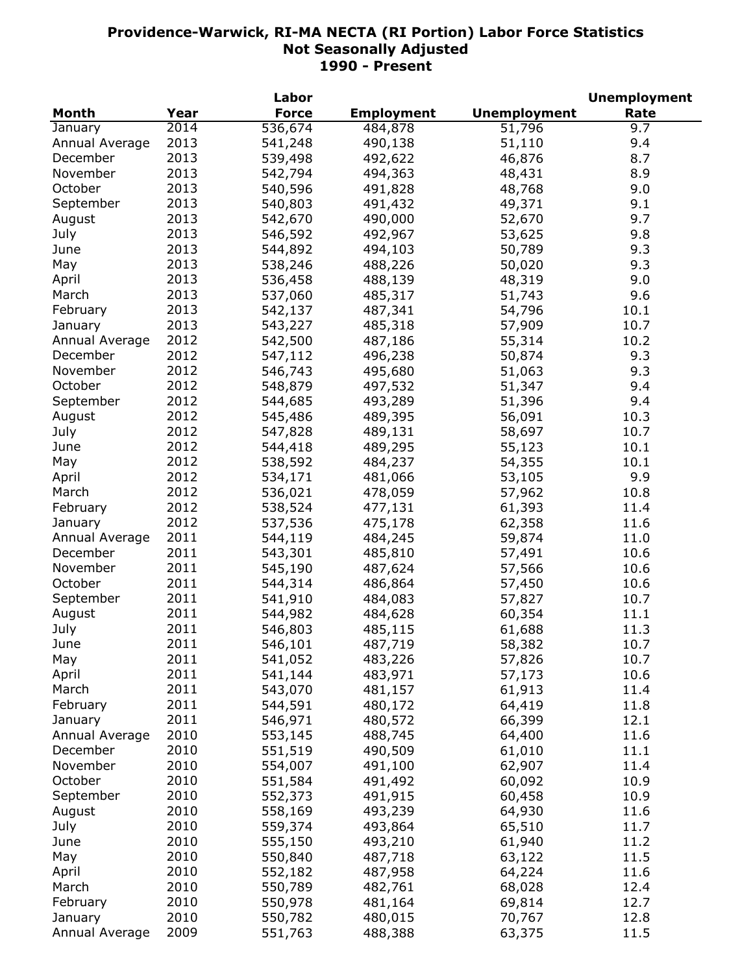|                |      | Labor        |                   |                     | <b>Unemployment</b> |
|----------------|------|--------------|-------------------|---------------------|---------------------|
| <b>Month</b>   | Year | <b>Force</b> | <b>Employment</b> | <b>Unemployment</b> | Rate                |
| January        | 2014 | 536,674      | 484, 878          | 51,796              | 9.7                 |
| Annual Average | 2013 | 541,248      | 490,138           | 51,110              | 9.4                 |
| December       | 2013 | 539,498      | 492,622           | 46,876              | 8.7                 |
| November       | 2013 | 542,794      | 494,363           | 48,431              | 8.9                 |
| October        | 2013 | 540,596      | 491,828           | 48,768              | 9.0                 |
| September      | 2013 | 540,803      | 491,432           | 49,371              | 9.1                 |
| August         | 2013 | 542,670      | 490,000           | 52,670              | 9.7                 |
| July           | 2013 | 546,592      | 492,967           | 53,625              | 9.8                 |
| June           | 2013 | 544,892      | 494,103           | 50,789              | 9.3                 |
| May            | 2013 | 538,246      | 488,226           | 50,020              | 9.3                 |
| April          | 2013 | 536,458      | 488,139           | 48,319              | 9.0                 |
| March          | 2013 | 537,060      | 485,317           |                     | 9.6                 |
|                | 2013 |              |                   | 51,743              |                     |
| February       |      | 542,137      | 487,341           | 54,796              | 10.1                |
| January        | 2013 | 543,227      | 485,318           | 57,909              | 10.7                |
| Annual Average | 2012 | 542,500      | 487,186           | 55,314              | 10.2                |
| December       | 2012 | 547,112      | 496,238           | 50,874              | 9.3                 |
| November       | 2012 | 546,743      | 495,680           | 51,063              | 9.3                 |
| October        | 2012 | 548,879      | 497,532           | 51,347              | 9.4                 |
| September      | 2012 | 544,685      | 493,289           | 51,396              | 9.4                 |
| August         | 2012 | 545,486      | 489,395           | 56,091              | 10.3                |
| July           | 2012 | 547,828      | 489,131           | 58,697              | 10.7                |
| June           | 2012 | 544,418      | 489,295           | 55,123              | 10.1                |
| May            | 2012 | 538,592      | 484,237           | 54,355              | 10.1                |
| April          | 2012 | 534,171      | 481,066           | 53,105              | 9.9                 |
| March          | 2012 | 536,021      | 478,059           | 57,962              | 10.8                |
| February       | 2012 | 538,524      | 477,131           | 61,393              | 11.4                |
| January        | 2012 | 537,536      | 475,178           | 62,358              | 11.6                |
| Annual Average | 2011 | 544,119      | 484,245           | 59,874              | 11.0                |
| December       | 2011 | 543,301      | 485,810           | 57,491              | 10.6                |
| November       | 2011 | 545,190      | 487,624           | 57,566              | 10.6                |
| October        | 2011 | 544,314      | 486,864           | 57,450              | 10.6                |
| September      | 2011 | 541,910      | 484,083           | 57,827              | 10.7                |
| August         | 2011 | 544,982      | 484,628           | 60,354              | 11.1                |
| July           | 2011 | 546,803      | 485,115           | 61,688              | 11.3                |
| June           | 2011 | 546,101      | 487,719           | 58,382              | 10.7                |
| May            | 2011 | 541,052      | 483,226           | 57,826              | 10.7                |
| April          | 2011 | 541,144      | 483,971           | 57,173              | 10.6                |
| March          | 2011 | 543,070      | 481,157           | 61,913              | 11.4                |
|                | 2011 | 544,591      |                   | 64,419              | 11.8                |
| February       |      |              | 480,172           |                     |                     |
| January        | 2011 | 546,971      | 480,572           | 66,399              | 12.1                |
| Annual Average | 2010 | 553,145      | 488,745           | 64,400              | 11.6                |
| December       | 2010 | 551,519      | 490,509           | 61,010              | 11.1                |
| November       | 2010 | 554,007      | 491,100           | 62,907              | 11.4                |
| October        | 2010 | 551,584      | 491,492           | 60,092              | 10.9                |
| September      | 2010 | 552,373      | 491,915           | 60,458              | 10.9                |
| August         | 2010 | 558,169      | 493,239           | 64,930              | 11.6                |
| July           | 2010 | 559,374      | 493,864           | 65,510              | 11.7                |
| June           | 2010 | 555,150      | 493,210           | 61,940              | 11.2                |
| May            | 2010 | 550,840      | 487,718           | 63,122              | 11.5                |
| April          | 2010 | 552,182      | 487,958           | 64,224              | 11.6                |
| March          | 2010 | 550,789      | 482,761           | 68,028              | 12.4                |
| February       | 2010 | 550,978      | 481,164           | 69,814              | 12.7                |
| January        | 2010 | 550,782      | 480,015           | 70,767              | 12.8                |
| Annual Average | 2009 | 551,763      | 488,388           | 63,375              | 11.5                |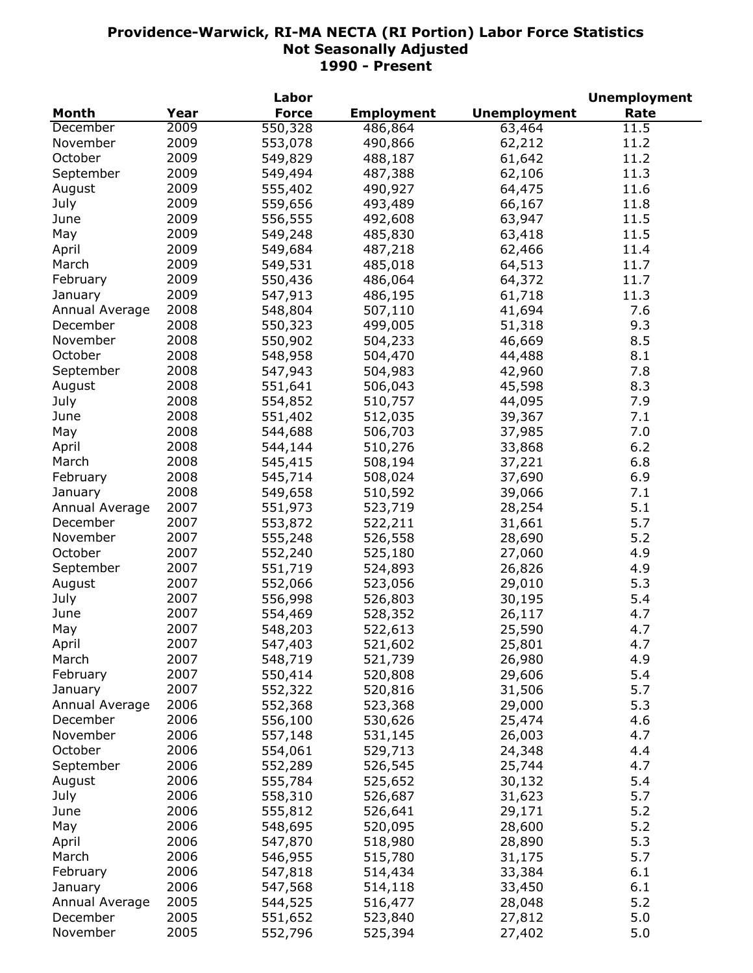|                |      | Labor        |                   |                     | <b>Unemployment</b> |
|----------------|------|--------------|-------------------|---------------------|---------------------|
| <b>Month</b>   | Year | <b>Force</b> | <b>Employment</b> | <b>Unemployment</b> | Rate                |
| December       | 2009 | 550,328      | 486,864           | 63,464              | 11.5                |
| November       | 2009 | 553,078      | 490,866           | 62,212              | 11.2                |
| October        | 2009 | 549,829      | 488,187           | 61,642              | 11.2                |
| September      | 2009 | 549,494      | 487,388           | 62,106              | 11.3                |
| August         | 2009 | 555,402      | 490,927           | 64,475              | 11.6                |
| July           | 2009 | 559,656      | 493,489           | 66,167              | 11.8                |
| June           | 2009 | 556,555      | 492,608           | 63,947              | 11.5                |
| May            | 2009 | 549,248      | 485,830           | 63,418              | 11.5                |
| April          | 2009 | 549,684      | 487,218           | 62,466              | 11.4                |
| March          | 2009 | 549,531      | 485,018           | 64,513              | 11.7                |
| February       | 2009 | 550,436      | 486,064           | 64,372              | 11.7                |
| January        | 2009 | 547,913      | 486,195           | 61,718              | 11.3                |
|                |      |              |                   |                     | 7.6                 |
| Annual Average | 2008 | 548,804      | 507,110           | 41,694              |                     |
| December       | 2008 | 550,323      | 499,005           | 51,318              | 9.3                 |
| November       | 2008 | 550,902      | 504,233           | 46,669              | 8.5                 |
| October        | 2008 | 548,958      | 504,470           | 44,488              | 8.1                 |
| September      | 2008 | 547,943      | 504,983           | 42,960              | 7.8                 |
| August         | 2008 | 551,641      | 506,043           | 45,598              | 8.3                 |
| July           | 2008 | 554,852      | 510,757           | 44,095              | 7.9                 |
| June           | 2008 | 551,402      | 512,035           | 39,367              | 7.1                 |
| May            | 2008 | 544,688      | 506,703           | 37,985              | 7.0                 |
| April          | 2008 | 544,144      | 510,276           | 33,868              | 6.2                 |
| March          | 2008 | 545,415      | 508,194           | 37,221              | 6.8                 |
| February       | 2008 | 545,714      | 508,024           | 37,690              | 6.9                 |
| January        | 2008 | 549,658      | 510,592           | 39,066              | 7.1                 |
| Annual Average | 2007 | 551,973      | 523,719           | 28,254              | 5.1                 |
| December       | 2007 | 553,872      | 522,211           | 31,661              | 5.7                 |
| November       | 2007 | 555,248      | 526,558           | 28,690              | 5.2                 |
| October        | 2007 | 552,240      | 525,180           | 27,060              | 4.9                 |
| September      | 2007 | 551,719      | 524,893           | 26,826              | 4.9                 |
| August         | 2007 | 552,066      | 523,056           | 29,010              | 5.3                 |
| July           | 2007 | 556,998      | 526,803           | 30,195              | 5.4                 |
| June           | 2007 | 554,469      | 528,352           | 26,117              | 4.7                 |
| May            | 2007 | 548,203      | 522,613           | 25,590              | 4.7                 |
| April          | 2007 | 547,403      | 521,602           | 25,801              | 4.7                 |
| March          | 2007 | 548,719      | 521,739           | 26,980              | 4.9                 |
| February       | 2007 | 550,414      | 520,808           | 29,606              | 5.4                 |
| January        | 2007 | 552,322      | 520,816           | 31,506              | 5.7                 |
| Annual Average | 2006 | 552,368      | 523,368           | 29,000              | 5.3                 |
| December       | 2006 | 556,100      | 530,626           | 25,474              | 4.6                 |
| November       | 2006 | 557,148      | 531,145           | 26,003              | 4.7                 |
| October        | 2006 | 554,061      | 529,713           | 24,348              | 4.4                 |
| September      | 2006 |              |                   |                     |                     |
|                |      | 552,289      | 526,545           | 25,744              | 4.7                 |
| August         | 2006 | 555,784      | 525,652           | 30,132              | 5.4                 |
| July           | 2006 | 558,310      | 526,687           | 31,623              | 5.7                 |
| June           | 2006 | 555,812      | 526,641           | 29,171              | 5.2                 |
| May            | 2006 | 548,695      | 520,095           | 28,600              | 5.2                 |
| April          | 2006 | 547,870      | 518,980           | 28,890              | 5.3                 |
| March          | 2006 | 546,955      | 515,780           | 31,175              | 5.7                 |
| February       | 2006 | 547,818      | 514,434           | 33,384              | 6.1                 |
| January        | 2006 | 547,568      | 514,118           | 33,450              | 6.1                 |
| Annual Average | 2005 | 544,525      | 516,477           | 28,048              | 5.2                 |
| December       | 2005 | 551,652      | 523,840           | 27,812              | 5.0                 |
| November       | 2005 | 552,796      | 525,394           | 27,402              | 5.0                 |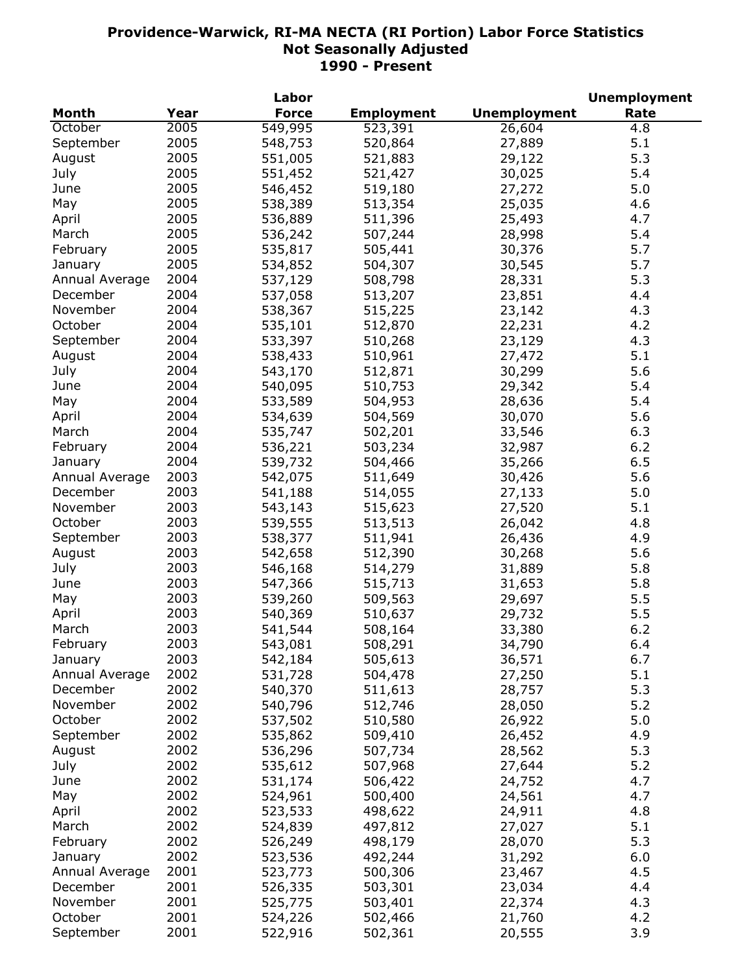|                |      | Labor        |                   |                     | <b>Unemployment</b> |
|----------------|------|--------------|-------------------|---------------------|---------------------|
| Month          | Year | <b>Force</b> | <b>Employment</b> | <b>Unemployment</b> | Rate                |
| October        | 2005 | 549,995      | 523,391           | 26,604              | 4.8                 |
| September      | 2005 | 548,753      | 520,864           | 27,889              | 5.1                 |
| August         | 2005 | 551,005      | 521,883           | 29,122              | 5.3                 |
| July           | 2005 | 551,452      | 521,427           | 30,025              | 5.4                 |
| June           | 2005 | 546,452      | 519,180           | 27,272              | 5.0                 |
| May            | 2005 | 538,389      | 513,354           | 25,035              | 4.6                 |
| April          | 2005 | 536,889      | 511,396           | 25,493              | 4.7                 |
| March          | 2005 | 536,242      | 507,244           | 28,998              | 5.4                 |
| February       | 2005 | 535,817      | 505,441           | 30,376              | 5.7                 |
| January        | 2005 | 534,852      | 504,307           | 30,545              | 5.7                 |
| Annual Average | 2004 | 537,129      | 508,798           | 28,331              | 5.3                 |
| December       | 2004 |              |                   |                     | 4.4                 |
|                |      | 537,058      | 513,207           | 23,851              |                     |
| November       | 2004 | 538,367      | 515,225           | 23,142              | 4.3                 |
| October        | 2004 | 535,101      | 512,870           | 22,231              | 4.2                 |
| September      | 2004 | 533,397      | 510,268           | 23,129              | 4.3                 |
| August         | 2004 | 538,433      | 510,961           | 27,472              | 5.1                 |
| July           | 2004 | 543,170      | 512,871           | 30,299              | 5.6                 |
| June           | 2004 | 540,095      | 510,753           | 29,342              | 5.4                 |
| May            | 2004 | 533,589      | 504,953           | 28,636              | 5.4                 |
| April          | 2004 | 534,639      | 504,569           | 30,070              | 5.6                 |
| March          | 2004 | 535,747      | 502,201           | 33,546              | 6.3                 |
| February       | 2004 | 536,221      | 503,234           | 32,987              | 6.2                 |
| January        | 2004 | 539,732      | 504,466           | 35,266              | 6.5                 |
| Annual Average | 2003 | 542,075      | 511,649           | 30,426              | 5.6                 |
| December       | 2003 | 541,188      | 514,055           | 27,133              | 5.0                 |
| November       | 2003 | 543,143      | 515,623           | 27,520              | 5.1                 |
| October        | 2003 | 539,555      | 513,513           | 26,042              | 4.8                 |
| September      | 2003 | 538,377      | 511,941           | 26,436              | 4.9                 |
| August         | 2003 | 542,658      | 512,390           | 30,268              | 5.6                 |
| July           | 2003 | 546,168      | 514,279           | 31,889              | 5.8                 |
| June           | 2003 | 547,366      | 515,713           | 31,653              | 5.8                 |
| May            | 2003 | 539,260      | 509,563           | 29,697              | 5.5                 |
| April          | 2003 | 540,369      | 510,637           | 29,732              | 5.5                 |
| March          | 2003 | 541,544      | 508,164           | 33,380              | 6.2                 |
| February       | 2003 | 543,081      | 508,291           | 34,790              | 6.4                 |
| January        | 2003 | 542,184      | 505,613           | 36,571              | 6.7                 |
| Annual Average | 2002 | 531,728      | 504,478           | 27,250              | 5.1                 |
| December       | 2002 | 540,370      | 511,613           |                     | 5.3                 |
|                | 2002 |              |                   | 28,757              | 5.2                 |
| November       | 2002 | 540,796      | 512,746           | 28,050              |                     |
| October        |      | 537,502      | 510,580           | 26,922              | 5.0                 |
| September      | 2002 | 535,862      | 509,410           | 26,452              | 4.9                 |
| August         | 2002 | 536,296      | 507,734           | 28,562              | 5.3                 |
| July           | 2002 | 535,612      | 507,968           | 27,644              | 5.2                 |
| June           | 2002 | 531,174      | 506,422           | 24,752              | 4.7                 |
| May            | 2002 | 524,961      | 500,400           | 24,561              | 4.7                 |
| April          | 2002 | 523,533      | 498,622           | 24,911              | 4.8                 |
| March          | 2002 | 524,839      | 497,812           | 27,027              | 5.1                 |
| February       | 2002 | 526,249      | 498,179           | 28,070              | 5.3                 |
| January        | 2002 | 523,536      | 492,244           | 31,292              | 6.0                 |
| Annual Average | 2001 | 523,773      | 500,306           | 23,467              | 4.5                 |
| December       | 2001 | 526,335      | 503,301           | 23,034              | 4.4                 |
| November       | 2001 | 525,775      | 503,401           | 22,374              | 4.3                 |
| October        | 2001 | 524,226      | 502,466           | 21,760              | 4.2                 |
| September      | 2001 | 522,916      | 502,361           | 20,555              | 3.9                 |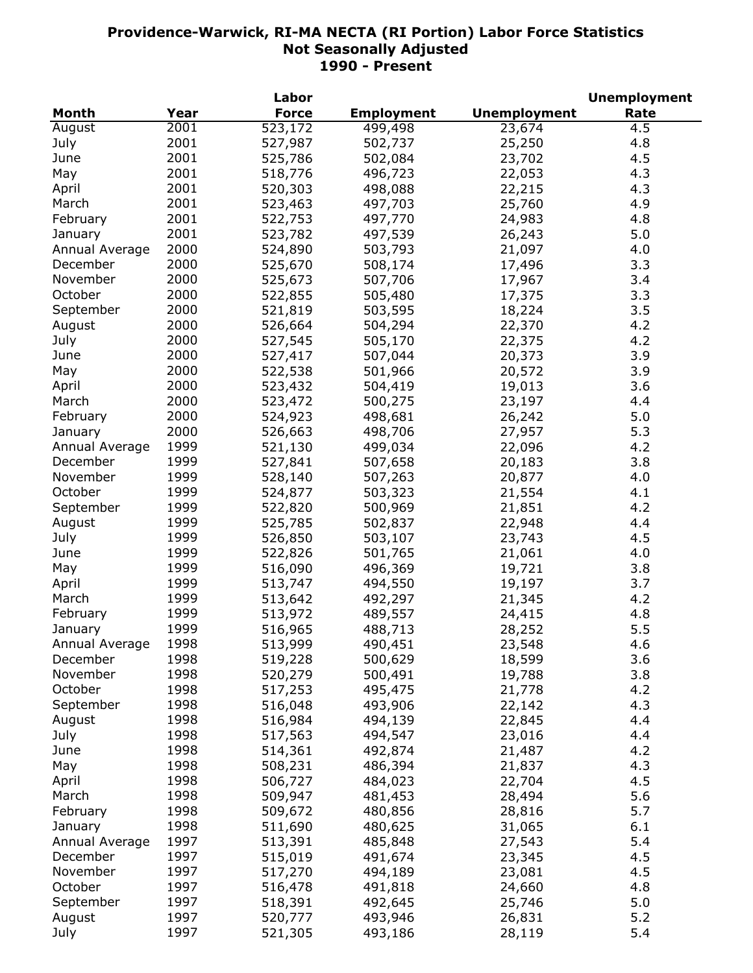|                |      | Labor        |                   |                     | <b>Unemployment</b> |
|----------------|------|--------------|-------------------|---------------------|---------------------|
| <b>Month</b>   | Year | <b>Force</b> | <b>Employment</b> | <b>Unemployment</b> | Rate                |
| August         | 2001 | 523,172      | 499,498           | 23,674              | 4.5                 |
| July           | 2001 | 527,987      | 502,737           | 25,250              | 4.8                 |
| June           | 2001 | 525,786      | 502,084           | 23,702              | 4.5                 |
| May            | 2001 | 518,776      | 496,723           | 22,053              | 4.3                 |
| April          | 2001 | 520,303      | 498,088           | 22,215              | 4.3                 |
| March          | 2001 | 523,463      | 497,703           | 25,760              | 4.9                 |
| February       | 2001 | 522,753      | 497,770           | 24,983              | 4.8                 |
| January        | 2001 | 523,782      | 497,539           | 26,243              | 5.0                 |
| Annual Average | 2000 | 524,890      | 503,793           | 21,097              | 4.0                 |
| December       | 2000 | 525,670      | 508,174           | 17,496              | 3.3                 |
| November       | 2000 | 525,673      | 507,706           | 17,967              | 3.4                 |
| October        | 2000 | 522,855      | 505,480           | 17,375              | 3.3                 |
| September      | 2000 | 521,819      | 503,595           | 18,224              | 3.5                 |
|                | 2000 | 526,664      | 504,294           | 22,370              | 4.2                 |
| August         | 2000 |              |                   | 22,375              | 4.2                 |
| July           | 2000 | 527,545      | 505,170           |                     | 3.9                 |
| June           |      | 527,417      | 507,044           | 20,373              |                     |
| May            | 2000 | 522,538      | 501,966           | 20,572              | 3.9                 |
| April          | 2000 | 523,432      | 504,419           | 19,013              | 3.6                 |
| March          | 2000 | 523,472      | 500,275           | 23,197              | 4.4                 |
| February       | 2000 | 524,923      | 498,681           | 26,242              | 5.0                 |
| January        | 2000 | 526,663      | 498,706           | 27,957              | 5.3                 |
| Annual Average | 1999 | 521,130      | 499,034           | 22,096              | 4.2                 |
| December       | 1999 | 527,841      | 507,658           | 20,183              | 3.8                 |
| November       | 1999 | 528,140      | 507,263           | 20,877              | 4.0                 |
| October        | 1999 | 524,877      | 503,323           | 21,554              | 4.1                 |
| September      | 1999 | 522,820      | 500,969           | 21,851              | 4.2                 |
| August         | 1999 | 525,785      | 502,837           | 22,948              | 4.4                 |
| July           | 1999 | 526,850      | 503,107           | 23,743              | 4.5                 |
| June           | 1999 | 522,826      | 501,765           | 21,061              | 4.0                 |
| May            | 1999 | 516,090      | 496,369           | 19,721              | 3.8                 |
| April          | 1999 | 513,747      | 494,550           | 19,197              | 3.7                 |
| March          | 1999 | 513,642      | 492,297           | 21,345              | 4.2                 |
| February       | 1999 | 513,972      | 489,557           | 24,415              | 4.8                 |
| January        | 1999 | 516,965      | 488,713           | 28,252              | 5.5                 |
| Annual Average | 1998 | 513,999      | 490,451           | 23,548              | 4.6                 |
| December       | 1998 | 519,228      | 500,629           | 18,599              | 3.6                 |
| November       | 1998 | 520,279      | 500,491           | 19,788              | 3.8                 |
| October        | 1998 | 517,253      | 495,475           | 21,778              | 4.2                 |
| September      | 1998 | 516,048      | 493,906           | 22,142              | 4.3                 |
| August         | 1998 | 516,984      | 494,139           | 22,845              | 4.4                 |
| July           | 1998 | 517,563      | 494,547           | 23,016              | 4.4                 |
| June           | 1998 | 514,361      | 492,874           | 21,487              | 4.2                 |
| May            | 1998 | 508,231      | 486,394           | 21,837              | 4.3                 |
| April          | 1998 | 506,727      | 484,023           | 22,704              | 4.5                 |
| March          | 1998 | 509,947      | 481,453           | 28,494              | 5.6                 |
| February       | 1998 | 509,672      | 480,856           | 28,816              | 5.7                 |
| January        | 1998 | 511,690      | 480,625           | 31,065              | 6.1                 |
| Annual Average | 1997 | 513,391      | 485,848           | 27,543              | 5.4                 |
| December       | 1997 | 515,019      | 491,674           | 23,345              | 4.5                 |
| November       | 1997 | 517,270      | 494,189           | 23,081              | 4.5                 |
| October        | 1997 |              | 491,818           |                     | 4.8                 |
|                | 1997 | 516,478      |                   | 24,660              |                     |
| September      | 1997 | 518,391      | 492,645           | 25,746              | 5.0                 |
| August         |      | 520,777      | 493,946           | 26,831              | 5.2                 |
| July           | 1997 | 521,305      | 493,186           | 28,119              | 5.4                 |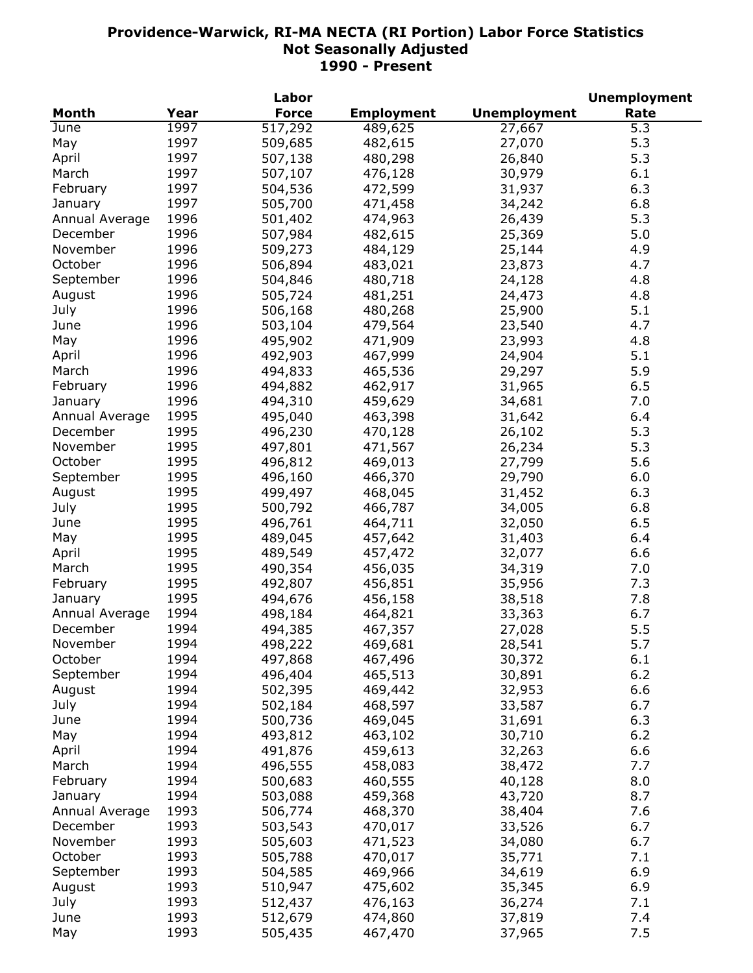|                |      | Labor        |                   |                     | <b>Unemployment</b> |
|----------------|------|--------------|-------------------|---------------------|---------------------|
| <b>Month</b>   | Year | <b>Force</b> | <b>Employment</b> | <b>Unemployment</b> | Rate                |
| June           | 1997 | 517,292      | 489,625           | 27,667              | 5.3                 |
| May            | 1997 | 509,685      | 482,615           | 27,070              | 5.3                 |
| April          | 1997 | 507,138      | 480,298           | 26,840              | 5.3                 |
| March          | 1997 | 507,107      | 476,128           | 30,979              | 6.1                 |
| February       | 1997 | 504,536      | 472,599           | 31,937              | 6.3                 |
| January        | 1997 | 505,700      | 471,458           | 34,242              | 6.8                 |
| Annual Average | 1996 | 501,402      | 474,963           | 26,439              | 5.3                 |
| December       | 1996 | 507,984      |                   |                     | 5.0                 |
|                | 1996 |              | 482,615           | 25,369              |                     |
| November       |      | 509,273      | 484,129           | 25,144              | 4.9                 |
| October        | 1996 | 506,894      | 483,021           | 23,873              | 4.7                 |
| September      | 1996 | 504,846      | 480,718           | 24,128              | 4.8                 |
| August         | 1996 | 505,724      | 481,251           | 24,473              | 4.8                 |
| July           | 1996 | 506,168      | 480,268           | 25,900              | 5.1                 |
| June           | 1996 | 503,104      | 479,564           | 23,540              | 4.7                 |
| May            | 1996 | 495,902      | 471,909           | 23,993              | 4.8                 |
| April          | 1996 | 492,903      | 467,999           | 24,904              | 5.1                 |
| March          | 1996 | 494,833      | 465,536           | 29,297              | 5.9                 |
| February       | 1996 | 494,882      | 462,917           | 31,965              | 6.5                 |
| January        | 1996 | 494,310      | 459,629           | 34,681              | 7.0                 |
| Annual Average | 1995 | 495,040      | 463,398           | 31,642              | 6.4                 |
| December       | 1995 | 496,230      | 470,128           | 26,102              | 5.3                 |
| November       | 1995 | 497,801      | 471,567           | 26,234              | 5.3                 |
| October        | 1995 | 496,812      | 469,013           | 27,799              | 5.6                 |
| September      | 1995 | 496,160      | 466,370           | 29,790              | 6.0                 |
| August         | 1995 | 499,497      | 468,045           | 31,452              | 6.3                 |
| July           | 1995 | 500,792      | 466,787           | 34,005              | 6.8                 |
| June           | 1995 | 496,761      | 464,711           | 32,050              | 6.5                 |
| May            | 1995 | 489,045      | 457,642           | 31,403              | 6.4                 |
| April          | 1995 | 489,549      | 457,472           | 32,077              | 6.6                 |
| March          | 1995 |              |                   |                     |                     |
|                |      | 490,354      | 456,035           | 34,319              | 7.0                 |
| February       | 1995 | 492,807      | 456,851           | 35,956              | 7.3                 |
| January        | 1995 | 494,676      | 456,158           | 38,518              | 7.8                 |
| Annual Average | 1994 | 498,184      | 464,821           | 33,363              | 6.7                 |
| December       | 1994 | 494,385      | 467,357           | 27,028              | 5.5                 |
| November       | 1994 | 498,222      | 469,681           | 28,541              | 5.7                 |
| October        | 1994 | 497,868      | 467,496           | 30,372              | $6.1\,$             |
| September      | 1994 | 496,404      | 465,513           | 30,891              | 6.2                 |
| August         | 1994 | 502,395      | 469,442           | 32,953              | 6.6                 |
| July           | 1994 | 502,184      | 468,597           | 33,587              | 6.7                 |
| June           | 1994 | 500,736      | 469,045           | 31,691              | 6.3                 |
| May            | 1994 | 493,812      | 463,102           | 30,710              | 6.2                 |
| April          | 1994 | 491,876      | 459,613           | 32,263              | 6.6                 |
| March          | 1994 | 496,555      | 458,083           | 38,472              | 7.7                 |
| February       | 1994 | 500,683      | 460,555           | 40,128              | 8.0                 |
| January        | 1994 | 503,088      | 459,368           | 43,720              | 8.7                 |
| Annual Average | 1993 | 506,774      | 468,370           | 38,404              | 7.6                 |
| December       | 1993 | 503,543      | 470,017           | 33,526              | 6.7                 |
| November       | 1993 | 505,603      | 471,523           | 34,080              | 6.7                 |
| October        | 1993 | 505,788      | 470,017           | 35,771              | 7.1                 |
| September      | 1993 | 504,585      | 469,966           | 34,619              | 6.9                 |
|                | 1993 | 510,947      |                   | 35,345              | 6.9                 |
| August         | 1993 |              | 475,602           |                     |                     |
| July           |      | 512,437      | 476,163           | 36,274              | 7.1                 |
| June           | 1993 | 512,679      | 474,860           | 37,819              | 7.4                 |
| May            | 1993 | 505,435      | 467,470           | 37,965              | 7.5                 |